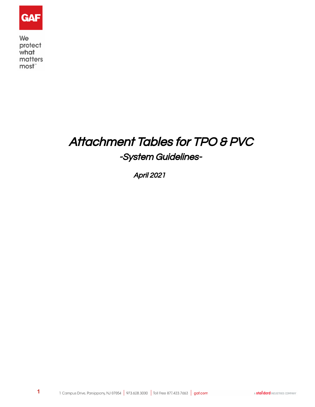

We protect what matters most<sup>"</sup>

**1**

# Attachment Tables for TPO & PVC

# -System Guidelines-

April 2021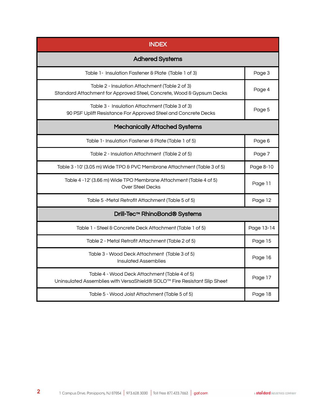| <b>INDEX</b>                                                                                                              |            |  |  |  |  |  |  |
|---------------------------------------------------------------------------------------------------------------------------|------------|--|--|--|--|--|--|
| <b>Adhered Systems</b>                                                                                                    |            |  |  |  |  |  |  |
| Table 1- Insulation Fastener & Plate (Table 1 of 3)                                                                       | Page 3     |  |  |  |  |  |  |
| Table 2 - Insulation Attachment (Table 2 of 3)<br>Standard Attachment for Approved Steel, Concrete, Wood & Gypsum Decks   | Page 4     |  |  |  |  |  |  |
| Table 3 - Insulation Attachment (Table 3 of 3)<br>90 PSF Uplift Resistance For Approved Steel and Concrete Decks          | Page 5     |  |  |  |  |  |  |
| <b>Mechanically Attached Systems</b>                                                                                      |            |  |  |  |  |  |  |
| Table 1- Insulation Fastener & Plate (Table 1 of 5)                                                                       | Page 6     |  |  |  |  |  |  |
| Table 2 - Insulation Attachment (Table 2 of 5)                                                                            | Page 7     |  |  |  |  |  |  |
| Table 3 - 10' (3.05 m) Wide TPO & PVC Membrane Attachment (Table 3 of 5)                                                  | Page 8-10  |  |  |  |  |  |  |
| Table 4 - 12' (3.66 m) Wide TPO Membrane Attachment (Table 4 of 5)<br><b>Over Steel Decks</b>                             | Page 11    |  |  |  |  |  |  |
| Table 5 - Metal Retrofit Attachment (Table 5 of 5)                                                                        | Page 12    |  |  |  |  |  |  |
| <b>Drill-Tec™ RhinoBond® Systems</b>                                                                                      |            |  |  |  |  |  |  |
| Table 1 - Steel & Concrete Deck Attachment (Table 1 of 5)                                                                 | Page 13-14 |  |  |  |  |  |  |
| Table 2 - Metal Retrofit Attachment (Table 2 of 5)                                                                        | Page 15    |  |  |  |  |  |  |
| Table 3 - Wood Deck Attachment (Table 3 of 5)<br><b>Insulated Assemblies</b>                                              | Page 16    |  |  |  |  |  |  |
| Table 4 - Wood Deck Attachment (Table 4 of 5)<br>Uninsulated Assemblies with VersaShield® SOLO™ Fire Resistant Slip Sheet | Page 17    |  |  |  |  |  |  |
| Table 5 - Wood Joist Attachment (Table 5 of 5)                                                                            | Page 18    |  |  |  |  |  |  |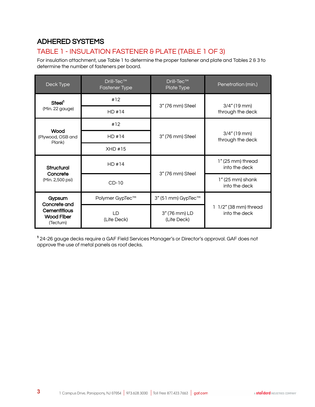## ADHERED SYSTEMS

#### TABLE 1 - INSULATION FASTENER & PLATE (TABLE 1 OF 3)

For insulation attachment, use Table 1 to determine the proper fastener and plate and Tables 2 & 3 to determine the number of fasteners per board.

| Deck Type                                     | Drill-Tec™<br>Fastener Type | Drill-Tec™<br>Plate Type     | Penetration (min.)                   |
|-----------------------------------------------|-----------------------------|------------------------------|--------------------------------------|
| Steel <sup>1</sup>                            | #12                         | 3" (76 mm) Steel             | $3/4$ " (19 mm)                      |
| (Min. 22 gauge)                               | HD#14                       |                              | through the deck                     |
|                                               | #12                         |                              |                                      |
| Wood<br>(Plywood, OSB and<br>Plank)           | HD#14                       | 3" (76 mm) Steel             | $3/4$ " (19 mm)<br>through the deck  |
|                                               | XHD#15                      |                              |                                      |
| Structural                                    | HD#14                       | 3" (76 mm) Steel             | 1" (25 mm) thread<br>into the deck   |
| Concrete<br>(Min. 2,500 psi)                  | $CD-10$                     |                              | 1" (25 mm) shank<br>into the deck    |
| Gypsum<br>Concrete and                        | Polymer GypTec™             | 3" (51 mm) GypTec™           |                                      |
| Cementitious<br><b>Wood Fiber</b><br>(Tectum) | ID.<br>(Lite Deck)          | 3" (76 mm) LD<br>(Lite Deck) | 1/2" (38 mm) thread<br>into the deck |

<sup>1</sup> 24-26 gauge decks require a GAF Field Services Manager's or Director's approval. GAF does not approve the use of metal panels as roof decks.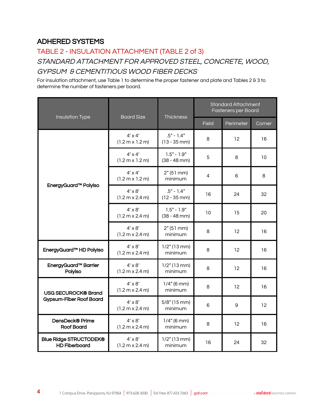## ADHERED SYSTEMS

# TABLE 2 - INSULATION ATTACHMENT (TABLE 2 of 3) STANDARD ATTACHMENT FOR APPROVED STEEL, CONCRETE, WOOD, GYPSUM & CEMENTITIOUS WOOD FIBER DECKS

For insulation attachment, use Table 1 to determine the proper fastener and plate and Tables 2 & 3 to determine the number of fasteners per board.

|                                                       |                                                          |                                    | <b>Standard Attachment</b><br><b>Fasteners per Board</b> |                   |        |  |
|-------------------------------------------------------|----------------------------------------------------------|------------------------------------|----------------------------------------------------------|-------------------|--------|--|
| Insulation Type                                       | <b>Board Size</b>                                        | <b>Thickness</b>                   | Field                                                    | Perimeter         | Corner |  |
|                                                       | $4' \times 4'$<br>$(1.2 \text{ m} \times 1.2 \text{ m})$ | $.5" - 1.4"$<br>$(13 - 35$ mm)     | 8                                                        | 12                | 16     |  |
|                                                       | $4' \times 4'$<br>$(1.2 \text{ m} \times 1.2 \text{ m})$ | $1.5" - 1.9"$<br>$(38 - 48$ mm $)$ | 5                                                        | 8                 | 10     |  |
| EnergyGuard <sup>™</sup> Polyiso                      | $4' \times 4'$<br>$(1.2 \text{ m} \times 1.2 \text{ m})$ | $2''(51$ mm)<br>minimum            | 4                                                        | 6                 | 8      |  |
|                                                       | $4' \times 8'$<br>(1.2 m x 2.4 m)                        | $.5'' - 1.4''$<br>$(12 - 35$ mm)   | 16                                                       | 24                | 32     |  |
|                                                       | $4' \times 8'$<br>(1.2 m x 2.4 m)                        | $1.5" - 1.9"$<br>$(38 - 48$ mm $)$ | 10                                                       | 15                | 20     |  |
|                                                       | $4' \times 8'$<br>(1.2 m x 2.4 m)                        | $2''(51$ mm)<br>minimum            | 8                                                        | 12                | 16     |  |
| EnergyGuard™ HD Polyiso                               | $4' \times 8'$<br>(1.2 m x 2.4 m)                        | $1/2$ " (13 mm)<br>minimum         | 8                                                        | 12                | 16     |  |
| EnergyGuard <sup>™</sup> Barrier<br>Polyiso           | $4' \times 8'$<br>(1.2 m x 2.4 m)                        | $1/2$ " (13 mm)<br>minimum         | 8                                                        | 12                | 16     |  |
| <b>USG SECUROCK® Brand</b>                            | $4' \times 8'$<br>$(1.2 \text{ m} \times 2.4 \text{ m})$ | $1/4"$ (6 mm)<br>minimum           | 8                                                        | 12                | 16     |  |
| <b>Gypsum-Fiber Roof Board</b>                        | $4' \times 8'$<br>$(1.2 \text{ m} \times 2.4 \text{ m})$ | $5/8''$ (15 mm)<br>minimum         | 6                                                        | 9                 | 12     |  |
| <b>DensDeck® Prime</b><br><b>Roof Board</b>           | $4' \times 8'$<br>$(1.2 \text{ m} \times 2.4 \text{ m})$ | $1/4"$ (6 mm)<br>minimum           | 8                                                        | $12 \overline{ }$ | 16     |  |
| <b>Blue Ridge STRUCTODEK®</b><br><b>HD Fiberboard</b> | $4' \times 8'$<br>(1.2 m x 2.4 m)                        | $1/2$ " (13 mm)<br>minimum         | 16                                                       | 24                | 32     |  |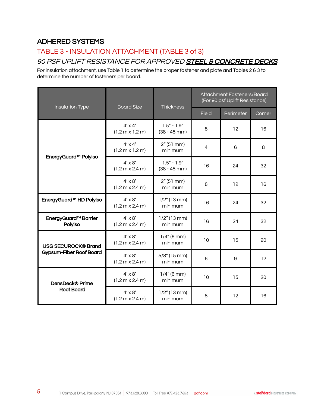#### ADHERED SYSTEMS

# TABLE 3 - INSULATION ATTACHMENT (TABLE 3 of 3)

#### 90 PSF UPLIFT RESISTANCE FOR APPROVED STEEL & CONCRETE DECKS

For insulation attachment, use Table 1 to determine the proper fastener and plate and Tables 2 & 3 to determine the number of fasteners per board.

|                                             |                                                          |                                    | <b>Attachment Fasteners/Board</b><br>(For 90 psf Uplift Resistance) |           |        |  |
|---------------------------------------------|----------------------------------------------------------|------------------------------------|---------------------------------------------------------------------|-----------|--------|--|
| Insulation Type                             | <b>Board Size</b>                                        | <b>Thickness</b>                   | Field                                                               | Perimeter | Corner |  |
|                                             | $4' \times 4'$<br>$(1.2 \text{ m} \times 1.2 \text{ m})$ | $1.5" - 1.9"$<br>$(38 - 48$ mm $)$ | 8                                                                   | 12        | 16     |  |
|                                             | $4' \times 4'$<br>$(1.2 \text{ m} \times 1.2 \text{ m})$ | 2''(51 mm)<br>minimum              | 4                                                                   | 6         | 8      |  |
| EnergyGuard <sup>™</sup> Polyiso            | $4' \times 8'$<br>$(1.2 \text{ m} \times 2.4 \text{ m})$ | $1.5" - 1.9"$<br>$(38 - 48$ mm $)$ | 16                                                                  | 24        | 32     |  |
|                                             | $4' \times 8'$<br>$(1.2 \text{ m} \times 2.4 \text{ m})$ | $2''(51$ mm)<br>minimum            | 8                                                                   | 12        | 16     |  |
| EnergyGuard™ HD Polyiso                     | $4' \times 8'$<br>$(1.2 \text{ m} \times 2.4 \text{ m})$ | $1/2$ " (13 mm)<br>minimum         | 16                                                                  | 24        | 32     |  |
| EnergyGuard <sup>™</sup> Barrier<br>Polyiso | $4' \times 8'$<br>$(1.2 \text{ m} \times 2.4 \text{ m})$ | $1/2"$ (13 mm)<br>minimum          | 16                                                                  | 24        | 32     |  |
| <b>USG SECUROCK® Brand</b>                  | $4' \times 8'$<br>$(1.2 \text{ m} \times 2.4 \text{ m})$ | $1/4"$ (6 mm)<br>minimum           | 10                                                                  | 15        | 20     |  |
| <b>Gypsum-Fiber Roof Board</b>              | $4' \times 8'$<br>$(1.2 \text{ m} \times 2.4 \text{ m})$ | $5/8''$ (15 mm)<br>minimum         | 6                                                                   | 9         | 12     |  |
| DensDeck® Prime                             | $4' \times 8'$<br>$(1.2 \text{ m} \times 2.4 \text{ m})$ | $1/4"$ (6 mm)<br>minimum           | 10                                                                  | 15        | 20     |  |
| <b>Roof Board</b>                           | $4' \times 8'$<br>$(1.2 \text{ m} \times 2.4 \text{ m})$ | $1/2$ " (13 mm)<br>minimum         | 8                                                                   | 12        | 16     |  |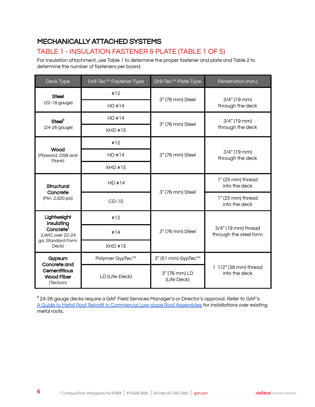#### TABLE 1 - INSULATION FASTENER & PLATE (TABLE 1 OF 5)

For insulation attachment, use Table 1 to determine the proper fastener and plate and Table 2 to determine the number of fasteners per board.

| Deck Type                                                     | Drill-Tec™ Fastener Type | Drill-Tec™ Plate Type        | Penetration (min.)                            |
|---------------------------------------------------------------|--------------------------|------------------------------|-----------------------------------------------|
| <b>Steel</b>                                                  | #12                      | 3" (76 mm) Steel             | $3/4''$ (19 mm)                               |
| (22-18 gauge)                                                 | HD#14                    |                              | through the deck                              |
| Steel <sup>1</sup>                                            | HD#14                    | 3" (76 mm) Steel             | $3/4$ " (19 mm)                               |
| (24-26 gauge)                                                 | <b>XHD#15</b>            |                              | through the deck                              |
|                                                               | #12                      |                              |                                               |
| Wood<br>(Plywood, OSB and<br>Plank)                           | HD#14                    | 3" (76 mm) Steel             | $3/4$ " (19 mm)<br>through the deck           |
|                                                               | XHD#15                   |                              |                                               |
| <b>Structural</b>                                             | HD#14                    |                              | 1" (25 mm) thread<br>into the deck            |
| Concrete<br>(Min. 2,500 psi)                                  | CD-10                    | 3" (76 mm) Steel             | 1" (25 mm) thread<br>into the deck            |
| Lightweight<br>Insulating                                     | #12                      |                              |                                               |
| Concrete <sup>1</sup><br>(LWIC over 22-24                     | #14                      | 3" (76 mm) Steel             | 3/4" (19 mm) thread<br>through the steel form |
| ga. Standard Form<br>Deck)                                    | XHD#15                   |                              |                                               |
| Gypsum                                                        | Polymer GypTec™          | 3" (51 mm) GypTec™           |                                               |
| Concrete and<br>Cementitious<br><b>Wood Fiber</b><br>(Tectum) | LD (Lite-Deck)           | 3" (76 mm) LD<br>(Lite Deck) | 1 1/2" (38 mm) thread<br>into the deck        |

<sup>1</sup> 24-26 gauge decks require a GAF Field Services Manager's or Director's approval. Refer to GAF's A Guide to Metal Roof Retrofit in [Commercial](https://www.gaf.com/en-us/document-library/documents/productdocuments/commercialroofingsystemsdocuments/singleplyroofingdocuments/pvcdocuments/pvcsmoothdocuments/everguardpvc50membranedocuments/EverGuard_Metal_Retrofit_Supplement_Guide.pdf) Low-slope Roof Assemblies for installations over existing metal roofs.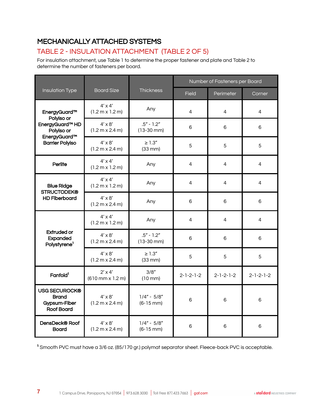#### TABLE 2 - INSULATION ATTACHMENT (TABLE 2 OF 5)

For insulation attachment, use Table 1 to determine the proper fastener and plate and Table 2 to determine the number of fasteners per board.

|                                                                                                                                       |                                                          |                                 |                     | Number of Fasteners per Board |                     |  |  |
|---------------------------------------------------------------------------------------------------------------------------------------|----------------------------------------------------------|---------------------------------|---------------------|-------------------------------|---------------------|--|--|
| Insulation Type                                                                                                                       | <b>Board Size</b>                                        | <b>Thickness</b>                | Field               | Perimeter                     | Corner              |  |  |
| EnergyGuard™<br>Polyiso or                                                                                                            | $4' \times 4'$<br>$(1.2 \text{ m} \times 1.2 \text{ m})$ | Any                             | 4                   | 4                             | $\overline{4}$      |  |  |
| EnergyGuard <sup>™</sup> HD<br>Polyiso or<br>EnergyGuard™                                                                             | $4' \times 8'$<br>(1.2 m x 2.4 m)                        | $.5" - 1.2"$<br>$(13-30$ mm $)$ | 6                   | 6                             | 6                   |  |  |
| <b>Barrier Polyiso</b>                                                                                                                | $4' \times 8'$<br>(1.2 m x 2.4 m)                        | $\geq 1.3''$<br>(33 mm)         | 5                   | 5                             | 5                   |  |  |
| Perlite                                                                                                                               | $4' \times 4'$<br>Any<br>(1.2 m x 1.2 m)                 |                                 | $\overline{4}$      | 4                             | $\overline{4}$      |  |  |
| <b>Blue Ridge</b><br><b>STRUCTODEK®</b><br><b>HD Fiberboard</b>                                                                       | $4' \times 4'$<br>$(1.2 \text{ m} \times 1.2 \text{ m})$ | Any                             | 4                   | 4                             | $\overline{4}$      |  |  |
|                                                                                                                                       | $4' \times 8'$<br>$(1.2 \text{ m} \times 2.4 \text{ m})$ | Any                             | 6                   | 6                             | 6                   |  |  |
|                                                                                                                                       | $4' \times 4'$<br>$(1.2 \text{ m} \times 1.2 \text{ m})$ | Any                             | 4                   | 4                             | 4                   |  |  |
| <b>Extruded or</b><br><b>Expanded</b><br>Polystyrene <sup>1</sup>                                                                     | $4' \times 8'$<br>$(1.2 \text{ m} \times 2.4 \text{ m})$ | $.5" - 1.2"$<br>$(13-30$ mm $)$ | 6                   | 6                             | 6                   |  |  |
|                                                                                                                                       | $4' \times 8'$<br>(1.2 m x 2.4 m)                        | $\geq 1.3''$<br>(33 mm)         | 5                   | 5                             | 5                   |  |  |
| Fanfold <sup>1</sup>                                                                                                                  | $2' \times 4'$<br>$(610$ mm x 1.2 m)                     | 3/8''<br>$(10 \text{ mm})$      | $2 - 1 - 2 - 1 - 2$ | $2 - 1 - 2 - 1 - 2$           | $2 - 1 - 2 - 1 - 2$ |  |  |
| <b>USG SECUROCK®</b><br><b>Brand</b><br>$4' \times 8'$<br>Gypsum-Fiber<br>$(1.2 \text{ m} \times 2.4 \text{ m})$<br><b>Roof Board</b> |                                                          | $1/4" - 5/8"$<br>$(6-15$ mm $)$ | 6                   | 6                             | 6                   |  |  |
| DensDeck® Roof<br><b>Board</b>                                                                                                        | $4' \times 8'$<br>$(1.2 \text{ m} \times 2.4 \text{ m})$ | $1/4" - 5/8"$<br>$(6-15$ mm $)$ | 6                   | 6                             | 6                   |  |  |

<sup>1</sup> Smooth PVC must have a 3/6 oz. (85/170 gr.) polymat separator sheet. Fleece-back PVC is acceptable.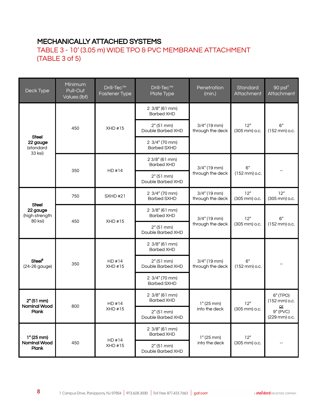## TABLE 3 - 10' (3.05 m) WIDE TPO & PVC MEMBRANE ATTACHMENT (TABLE 3 of 5)

| Deck Type                           | Minimum<br>Pull-Out<br>Values (lbf) | Drill-Tec™<br>Fastener Type | Drill-Tec™<br>Plate Type             | Penetration<br>(min.)               | Standard<br>Attachment | $90$ psf <sup>1</sup><br>Attachment    |
|-------------------------------------|-------------------------------------|-----------------------------|--------------------------------------|-------------------------------------|------------------------|----------------------------------------|
|                                     |                                     |                             | 2 3/8" (61 mm)<br><b>Barbed XHD</b>  |                                     | 12"<br>(305 mm) o.c.   |                                        |
| <b>Steel</b>                        | 450                                 | XHD #15                     | $2''(51$ mm $)$<br>Double Barbed XHD | $3/4''$ (19 mm)<br>through the deck |                        | 6''<br>(152 mm) o.c.                   |
| 22 gauge<br>(standard<br>33 ksi)    |                                     |                             | 2 3/4" (70 mm)<br><b>Barbed SXHD</b> |                                     |                        |                                        |
|                                     | 350                                 | HD #14                      | 2 3/8" (61 mm)<br><b>Barbed XHD</b>  | 3/4" (19 mm)                        | 6''                    |                                        |
|                                     |                                     |                             | $2''(51$ mm $)$<br>Double Barbed XHD | through the deck                    | (152 mm) o.c.          |                                        |
| <b>Steel</b>                        | 750                                 | SXHD#21                     | 2 3/4" (70 mm)<br><b>Barbed SXHD</b> | $3/4''$ (19 mm)<br>through the deck | 12"<br>(305 mm) o.c.   | 12"<br>(305 mm) o.c.                   |
| 22 gauge<br>(high strength          | 450                                 | <b>XHD #15</b>              | 2 3/8" (61 mm)<br><b>Barbed XHD</b>  | $3/4''$ (19 mm)                     | 12"                    | 6''                                    |
| 80 ksi)                             |                                     |                             | 2''(51 mm)<br>Double Barbed XHD      | through the deck                    | (305 mm) o.c.          | (152 mm) o.c.                          |
|                                     |                                     |                             | 2 3/8" (61 mm)<br><b>Barbed XHD</b>  |                                     |                        |                                        |
| Steel <sup>2</sup><br>(24-26 gauge) | 350                                 | HD #14<br><b>XHD #15</b>    | $2''(51$ mm $)$<br>Double Barbed XHD | $3/4''$ (19 mm)<br>through the deck | 6''<br>(152 mm) o.c.   |                                        |
|                                     |                                     |                             | 2 3/4" (70 mm)<br><b>Barbed SXHD</b> |                                     |                        |                                        |
| $2''(51$ mm)<br>Nominal Wood        | 800                                 | HD #14                      | 2 3/8" (61 mm)<br><b>Barbed XHD</b>  | $1''$ (25 mm)                       | 12"                    | 6" (TPO)<br>(152 mm) o.c.              |
| Plank                               |                                     | <b>XHD #15</b>              | $2''(51$ mm $)$<br>Double Barbed XHD | into the deck                       | (305 mm) o.c.          | <u>or</u><br>9" (PVC)<br>(229 mm) o.c. |
| $1''(25$ mm)                        |                                     | HD #14                      | 2 3/8" (61 mm)<br><b>Barbed XHD</b>  | $1''$ (25 mm)                       | 12"                    |                                        |
| Nominal Wood<br>Plank               | 450                                 | <b>XHD #15</b>              | $2''(51$ mm $)$<br>Double Barbed XHD | into the deck                       | (305 mm) o.c.          |                                        |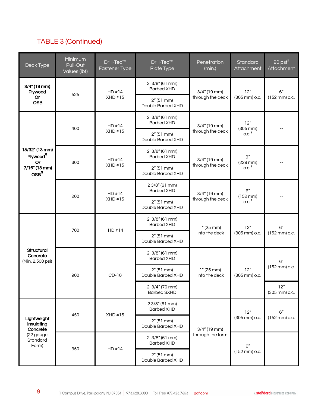# TABLE 3 (Continued)

| Deck Type                                  | Minimum<br>Pull-Out<br>Values (lbf) | Drill-Tec™<br><b>Fastener Type</b> | Drill-Tec™<br>Plate Type             | Penetration<br>(min.)          | Standard<br>Attachment             | $90$ psf <sup>1</sup><br>Attachment |
|--------------------------------------------|-------------------------------------|------------------------------------|--------------------------------------|--------------------------------|------------------------------------|-------------------------------------|
| 3/4" (19 mm)<br>Plywood                    |                                     | HD#14                              | 2 3/8" (61 mm)<br><b>Barbed XHD</b>  | 3/4" (19 mm)                   | 12"                                | 6''                                 |
| Or<br><b>OSB</b>                           | 525                                 | <b>XHD#15</b>                      | 2''(51 mm)<br>Double Barbed XHD      | through the deck               | (305 mm) o.c.                      | (152 mm) o.c.                       |
|                                            |                                     | HD #14                             | 2 3/8" (61 mm)<br><b>Barbed XHD</b>  | 3/4" (19 mm)                   | 12"                                |                                     |
|                                            | 400                                 | <b>XHD#15</b>                      | 2''(51 mm)<br>Double Barbed XHD      | through the deck               | $(305$ mm $)$<br>0.C. <sup>3</sup> |                                     |
| 15/32" (13 mm)<br>Plywood <sup>3</sup>     | 300                                 | HD #14                             | 2 3/8" (61 mm)<br><b>Barbed XHD</b>  | 3/4" (19 mm)                   | $9''$<br>(229 mm)                  |                                     |
| Or<br>7/16" (13 mm)<br>OSB <sup>3</sup>    |                                     | <b>XHD#15</b>                      | $2''(51$ mm)<br>Double Barbed XHD    | through the deck               | O.C. <sup>3</sup>                  |                                     |
|                                            | 200                                 | HD #14<br><b>XHD#15</b>            | 2 3/8" (61 mm)<br><b>Barbed XHD</b>  | 3/4" (19 mm)                   | 6''<br>$(152 \, \text{mm})$        |                                     |
|                                            |                                     |                                    | 2''(51 mm)<br>Double Barbed XHD      | through the deck               | 0.C. <sup>3</sup>                  |                                     |
|                                            | 700                                 | HD#14                              | 2 3/8" (61 mm)<br><b>Barbed XHD</b>  | $1''(25$ mm)                   | 12"<br>(305 mm) o.c.               | 6''                                 |
|                                            |                                     |                                    | $2''(51$ mm)<br>Double Barbed XHD    | into the deck                  |                                    | (152 mm) o.c.                       |
| Structural<br>Concrete<br>(Min. 2,500 psi) |                                     |                                    | 2 3/8" (61 mm)<br><b>Barbed XHD</b>  |                                | 12"<br>(305 mm) o.c.               | 6''                                 |
|                                            | 900                                 | CD-10                              | 2''(51 mm)<br>Double Barbed XHD      | $1''$ (25 mm)<br>into the deck |                                    | (152 mm) o.c.                       |
|                                            |                                     |                                    | 2 3/4" (70 mm)<br><b>Barbed SXHD</b> |                                |                                    | 12"<br>(305 mm) o.c.                |
|                                            | 450                                 | <b>XHD #15</b>                     | 2 3/8" (61 mm)<br><b>Barbed XHD</b>  |                                | 12"                                | $6''$                               |
| Lightweight<br>Insulating<br>Concrete      |                                     |                                    | 2''(51 mm)<br>Double Barbed XHD      | $3/4''$ (19 mm)                | (305 mm) o.c.                      | (152 mm) o.c.                       |
| (22 gauge<br>Standard<br>Form)             | 350                                 | HD #14                             | 2 3/8" (61 mm)<br><b>Barbed XHD</b>  | through the form               | 6''                                |                                     |
|                                            |                                     |                                    | 2''(51 mm)<br>Double Barbed XHD      |                                | (152 mm) o.c.                      |                                     |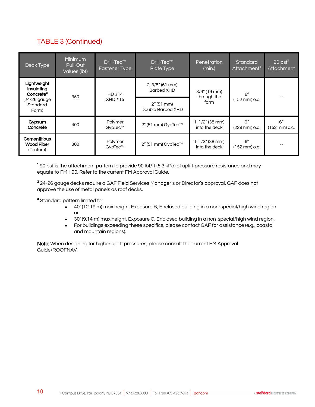## TABLE 3 (Continued)

| Deck Type                                          | Minimum<br>Pull-Out<br>Values (lbf) | Drill-Tec™<br>Fastener Type | Drill-Tec™<br>Plate Type              | Penetration<br>(min.)                 | Standard<br>Attachment <sup>3</sup> | $90$ psf <sup>1</sup><br>Attachment |
|----------------------------------------------------|-------------------------------------|-----------------------------|---------------------------------------|---------------------------------------|-------------------------------------|-------------------------------------|
| Lightweight<br>Insulating<br>Concrete <sup>2</sup> |                                     | HD#14                       | $2 \frac{3}{8}$ (61 mm)<br>Barbed XHD | $3/4$ " (19 mm)<br>6''<br>through the |                                     |                                     |
| 350<br>(24-26 gauge<br>Standard<br>Form)           |                                     | XHD#15                      | $2''(51$ mm $)$<br>Double Barbed XHD  | form                                  | (152 mm) o.c.                       |                                     |
| Gypsum<br>Concrete                                 | 400                                 | Polymer<br>GypTec™          | 2" (51 mm) GypTec™                    | 1/2" (38 mm)<br>into the deck         | 9''<br>(229 mm) o.c.                | 6''<br>(152 mm) o.c.                |
| Cementitious<br><b>Wood Fiber</b><br>(Tectum)      | 300                                 | Polymer<br>GypTec™          | 2" (51 mm) GypTec™                    | $1/2$ " (38 mm)<br>into the deck      | 6''<br>$(152 \text{ mm})$ o.c.      |                                     |

<sup>1</sup> 90 psf is the attachment pattern to provide 90 lbf/ft (5.3 kPa) of uplift pressure resistance and may equate to FM I-90. Refer to the current FM Approval Guide.

<sup>2</sup> 24-26 gauge decks require a GAF Field Services Manager's or Director's approval. GAF does not approve the use of metal panels as roof decks.

<sup>3</sup> Standard pattern limited to:

- 40' (12.19 m) max height, Exposure B, Enclosed building in a non-special/high wind region or
- 30' (9.14 m) max height, Exposure C, Enclosed building in a non-special/high wind region.
- For buildings exceeding these specifics, please contact GAF for assistance (e.g., coastal and mountain regions).

Note: When designing for higher uplift pressures, please consult the current FM Approval Guide/ROOFNAV.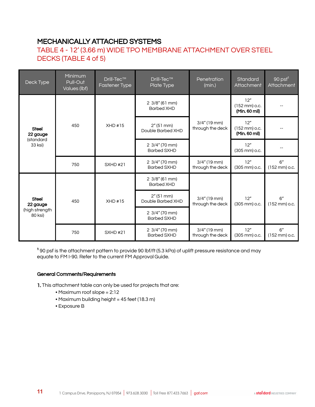#### TABLE 4 - 12' (3.66 m) WIDE TPO MEMBRANE ATTACHMENT OVER STEEL DECKS (TABLE 4 of 5)

| Deck Type                                        | Minimum<br>Pull-Out<br>Values (lbf) | Drill-Tec™<br><b>Fastener Type</b> | Drill-Tec™<br>Plate Type             | Penetration<br>(min.)               | <b>Standard</b><br>Attachment         | $90$ psf <sup>1</sup><br>Attachment   |  |
|--------------------------------------------------|-------------------------------------|------------------------------------|--------------------------------------|-------------------------------------|---------------------------------------|---------------------------------------|--|
| <b>Steel</b><br>22 gauge<br>(standard<br>33 ksi) |                                     |                                    | 23/8'' (61 mm)<br><b>Barbed XHD</b>  |                                     | 12"<br>(152 mm) o.c.<br>(Min. 60 mil) |                                       |  |
|                                                  | 450                                 | XHD #15                            | 2''(51 mm)<br>Double Barbed XHD      | $3/4''$ (19 mm)<br>through the deck |                                       | 12"<br>(152 mm) o.c.<br>(Min. 60 mil) |  |
|                                                  |                                     |                                    | 2 3/4" (70 mm)<br><b>Barbed SXHD</b> |                                     | 12"<br>(305 mm) o.c.                  |                                       |  |
|                                                  | 750                                 | SXHD#21                            | 2 3/4" (70 mm)<br><b>Barbed SXHD</b> | $3/4''$ (19 mm)<br>through the deck | 12"<br>(305 mm) o.c.                  | 6''<br>(152 mm) o.c.                  |  |
|                                                  |                                     | 450<br>XHD #15                     | 2 3/8" (61 mm)<br><b>Barbed XHD</b>  |                                     |                                       |                                       |  |
| <b>Steel</b><br>22 gauge                         |                                     |                                    | $2''(51$ mm)<br>Double Barbed XHD    | $3/4$ " (19 mm)<br>through the deck | 12"<br>(305 mm) o.c.                  | 6''<br>(152 mm) o.c.                  |  |
| (high strength<br>80 ksi)                        |                                     |                                    | 2 3/4" (70 mm)<br><b>Barbed SXHD</b> |                                     |                                       |                                       |  |
|                                                  | 750                                 | SXHD#21                            | 2 3/4" (70 mm)<br><b>Barbed SXHD</b> | $3/4''$ (19 mm)<br>through the deck | 12"<br>(305 mm) o.c.                  | 6"<br>(152 mm) o.c.                   |  |

<sup>1</sup> 90 psf is the attachment pattern to provide 90 lbf/ft (5.3 kPa) of uplift pressure resistance and may equate to FM I-90. Refer to the current FM Approval Guide.

#### General Comments/Requirements

1. This attachment table can only be used for projects that are:

- Maximum roof slope = 2:12
- Maximum building height = 45 feet (18.3 m)
- Exposure B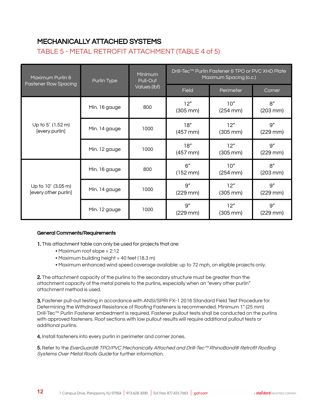#### TABLE 5 - METAL RETROFIT ATTACHMENT (TABLE 4 of 5)

| Maximum Purlin &<br><b>Fastener Row Spacing</b> | Purlin Type   | Minimum<br>Pull-Out | Drill-Tec™ Purlin Fastener & TPO or PVC XHD Plate<br>Maximum Spacing (o.c.) |                             |                             |  |
|-------------------------------------------------|---------------|---------------------|-----------------------------------------------------------------------------|-----------------------------|-----------------------------|--|
|                                                 |               | Values (lbf)        | Field                                                                       | Perimeter                   | Corner                      |  |
| Up to 5' (1.52 m)<br>[every purlin]             | Min. 16 gauge | 800                 | 12"<br>$(305 \, \text{mm})$                                                 | 10"<br>$(254 \, \text{mm})$ | 8''<br>$(203 \, \text{mm})$ |  |
|                                                 | Min. 14 gauge | 1000                | 18"<br>$(457 \, \text{mm})$                                                 | 12"<br>$(305 \, \text{mm})$ | 9''<br>$(229 \, \text{mm})$ |  |
|                                                 | Min. 12 gauge | 1000                | 18"<br>$(457 \, \text{mm})$                                                 | 12"<br>$(305 \, \text{mm})$ | 9''<br>$(229 \, \text{mm})$ |  |
|                                                 | Min. 16 gauge | 800                 | 6''<br>$(152 \, \text{mm})$                                                 | 10"<br>$(254 \, \text{mm})$ | 8''<br>$(203 \, \text{mm})$ |  |
| Up to 10' (3.05 m)<br>[every other purlin]      | Min. 14 gauge | 1000                | 9''<br>$(229$ mm $)$                                                        | 12"<br>$(305 \, \text{mm})$ | 9''<br>$(229 \, \text{mm})$ |  |
|                                                 | Min. 12 gauge | 1000                | 9''<br>$(229 \, \text{mm})$                                                 | 12"<br>$(305 \, \text{mm})$ | 9''<br>$(229 \, \text{mm})$ |  |

#### General Comments/Requirements

1. This attachment table can only be used for projects that are:

- Maximum roof slope = 2:12
- Maximum building height = 40 feet (18.3 m)
- Maximum enhanced wind speed coverage available: up to 72 mph, on eligible projects only.

2. The attachment capacity of the purlins to the secondary structure must be greater than the attachment capacity of the metal panels to the purlins, especially when an "every other purlin" attachment method is used.

3. Fastener pull-out testing in accordance with ANSI/SPRI FX-1 2016 Standard Field Test Procedure for Determining the Withdrawal Resistance of Roofing Fasteners is recommended. Minimum 1" (25 mm) Drill-Tec™ Purlin Fastener embedment is required. Fastener pullout tests shall be conducted on the purlins with approved fasteners. Roof sections with low pullout results will require additional pullout tests or additional purlins.

4. Install fasteners into every purlin in perimeter and corner zones.

5. Refer to the EverGuard® TPO/PVC Mechanically Attached and Drill-Tec™ RhinoBond® Retrofit Roofing Systems Over Metal Roofs Guide for further information.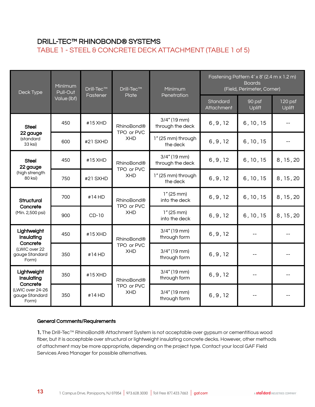#### DRILL-TEC™ RHINOBOND® SYSTEMS TABLE 1 - STEEL & CONCRETE DECK ATTACHMENT (TABLE 1 of 5)

| Deck Type                                               | Minlmum<br>Drill-Tec™<br>Pull-Out |          | Drill-Tec™<br>Minimum           |                                     | Fastening Pattern 4' x 8' (2.4 m x 1.2 m)<br><b>Boards</b><br>(Field, Perimeter, Corner) |                  |                   |
|---------------------------------------------------------|-----------------------------------|----------|---------------------------------|-------------------------------------|------------------------------------------------------------------------------------------|------------------|-------------------|
|                                                         | Value (lbf)                       | Fastener | Plate                           | Penetration                         | Standard<br>Attachment                                                                   | 90 psf<br>Uplift | 120 psf<br>Uplift |
| <b>Steel</b>                                            | 450                               | #15 XHD  | <b>RhinoBond®</b><br>TPO or PVC | $3/4''$ (19 mm)<br>through the deck | 6, 9, 12                                                                                 | 6, 10, 15        |                   |
| 22 gauge<br>(standard<br>33 ksi)                        | 600                               | #21 SXHD | <b>XHD</b>                      | 1" (25 mm) through<br>the deck      | 6, 9, 12                                                                                 | 6, 10, 15        | --                |
| <b>Steel</b><br>22 gauge                                | 450                               | #15 XHD  | RhinoBond®<br>TPO or PVC        | $3/4''$ (19 mm)<br>through the deck | 6, 9, 12                                                                                 | 6, 10, 15        | 8, 15, 20         |
| (high strength<br>80 ksi)                               | 750                               | #21 SXHD | <b>XHD</b>                      | 1" (25 mm) through<br>the deck      | 6, 9, 12                                                                                 | 6, 10, 15        | 8, 15, 20         |
| Structural                                              | 700                               | #14 HD   | RhinoBond®                      | $1''$ (25 mm)<br>into the deck      | 6, 9, 12                                                                                 | 6, 10, 15        | 8, 15, 20         |
| Concrete<br>(Min. 2,500 psi)                            | 900                               | CD-10    | TPO or PVC<br><b>XHD</b>        | $1''$ (25 mm)<br>into the deck      | 6, 9, 12                                                                                 | 6, 10, 15        | 8, 15, 20         |
| Lightweight<br>Insulating<br>Concrete                   | 450                               | #15 XHD  | RhinoBond®                      | $3/4''$ (19 mm)<br>through form     | 6, 9, 12                                                                                 |                  |                   |
| (LWIC over 22<br>gauge Standard<br>Form)                | 350                               | #14 HD   | TPO or PVC<br><b>XHD</b>        | $3/4''$ (19 mm)<br>through form     | 6, 9, 12                                                                                 |                  |                   |
| Lightweight<br>Insulating                               | 350                               | #15 XHD  | RhinoBond®                      | $3/4''$ (19 mm)<br>through form     | 6, 9, 12                                                                                 |                  |                   |
| Concrete<br>(LWIC over 24-26<br>gauge Standard<br>Form) | 350                               | #14 HD   | TPO or PVC<br><b>XHD</b>        | $3/4''$ (19 mm)<br>through form     | 6, 9, 12                                                                                 |                  |                   |

#### General Comments/Requirements

**13**

1. The Drill-Tec™ RhinoBond® Attachment System is not acceptable over gypsum or cementitious wood fiber, but it is acceptable over structural or lightweight insulating concrete decks. However, other methods of attachment may be more appropriate, depending on the project type. Contact your local GAF Field Services Area Manager for possible alternatives.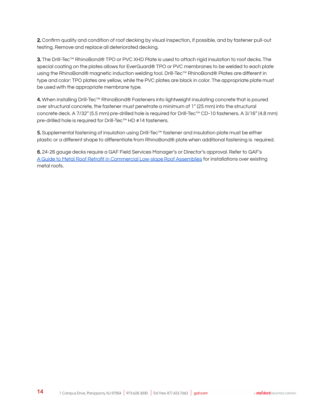2. Confirm quality and condition of roof decking by visual inspection, if possible, and by fastener pull-out testing. Remove and replace all deteriorated decking.

3. The Drill-Tec™ RhinoBond® TPO or PVC XHD Plate is used to attach rigid insulation to roof decks. The special coating on the plates allows for EverGuard® TPO or PVC membranes to be welded to each plate using the RhinoBond® magnetic induction welding tool. Drill-Tec™ RhinoBond® Plates are different in type and color: TPO plates are yellow, while the PVC plates are black in color. The appropriate plate must be used with the appropriate membrane type.

4. When installing Drill-Tec™ RhinoBond® Fasteners into lightweight insulating concrete that is poured over structural concrete, the fastener must penetrate a minimum of 1" (25 mm) into the structural concrete deck. A 7/32" (5.5 mm) pre-drilled hole is required for Drill-Tec™ CD-10 fasteners. A 3/16" (4.8 mm) pre-drilled hole is required for Drill-Tec™ HD #14 fasteners.

5. Supplemental fastening of insulation using Drill-Tec™ fastener and insulation plate must be either plastic or a different shape to differentiate from RhinoBond® plate when additional fastening is required.

6. 24-26 gauge decks require a GAF Field Services Manager's or Director's approval. Refer to GAF's A Guide to Metal Roof Retrofit in [Commercial](https://www.gaf.com/en-us/document-library/documents/productdocuments/commercialroofingsystemsdocuments/singleplyroofingdocuments/pvcdocuments/pvcsmoothdocuments/everguardpvc50membranedocuments/EverGuard_Metal_Retrofit_Supplement_Guide.pdf) Low-slope Roof Assemblies for installations over existing metal roofs.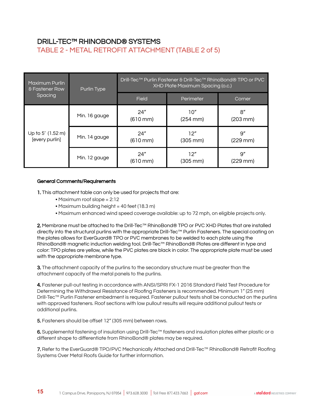#### DRILL-TEC™ RHINOBOND® SYSTEMS TABLE 2 - METAL RETROFIT ATTACHMENT (TABLE 2 of 5)

| Maximum Purlin<br><b>&amp; Fastener Row</b><br>Spacing | Purlin Type   | Drill-Tec™ Purlin Fastener & Drill-Tec™ RhinoBond® TPO or PVC<br>XHD Plate Maximum Spacing (o.c.) |                             |                             |  |
|--------------------------------------------------------|---------------|---------------------------------------------------------------------------------------------------|-----------------------------|-----------------------------|--|
|                                                        |               | Field                                                                                             | Perimeter                   | Corner                      |  |
| Up to 5' (1.52 m)<br>[every purlin]                    | Min. 16 gauge | 24"<br>$(610 \, \text{mm})$                                                                       | 10"<br>$(254$ mm $)$        | 8''<br>$(203 \, \text{mm})$ |  |
|                                                        | Min. 14 gauge | 24"<br>$(610 \, \text{mm})$                                                                       | 12"<br>$(305 \, \text{mm})$ | 9''<br>$(229 \, \text{mm})$ |  |
|                                                        | Min. 12 gauge | 24"<br>$(610 \, \text{mm})$                                                                       | 12"<br>(305 mm)             | 9″<br>(229 mm)              |  |

#### General Comments/Requirements

1. This attachment table can only be used for projects that are:

- Maximum roof slope = 2:12
- Maximum building height = 40 feet (18.3 m)
- Maximum enhanced wind speed coverage available: up to 72 mph, on eligible projects only.

2. Membrane must be attached to the Drill-Tec™ RhinoBond® TPO or PVC XHD Plates that are installed directly into the structural purlins with the appropriate Drill-Tec™ Purlin Fasteners. The special coating on the plates allows for EverGuard® TPO or PVC membranes to be welded to each plate using the RhinoBond® magnetic induction welding tool. Drill-Tec™ RhinoBond® Plates are different in type and color: TPO plates are yellow, while the PVC plates are black in color. The appropriate plate must be used with the appropriate membrane type.

3. The attachment capacity of the purlins to the secondary structure must be greater than the attachment capacity of the metal panels to the purlins.

4. Fastener pull-out testing in accordance with ANSI/SPRI FX-1 2016 Standard Field Test Procedure for Determining the Withdrawal Resistance of Roofing Fasteners is recommended. Minimum 1" (25 mm) Drill-Tec™ Purlin Fastener embedment is required. Fastener pullout tests shall be conducted on the purlins with approved fasteners. Roof sections with low pullout results will require additional pullout tests or additional purlins.

5. Fasteners should be offset 12" (305 mm) between rows.

6. Supplemental fastening of insulation using Drill-Tec™ fasteners and insulation plates either plastic or a different shape to differentiate from RhinoBond® plates may be required.

7. Refer to the EverGuard® TPO/PVC Mechanically Attached and Drill-Tec™ RhinoBond® Retrofit Roofing Systems Over Metal Roofs Guide for further information.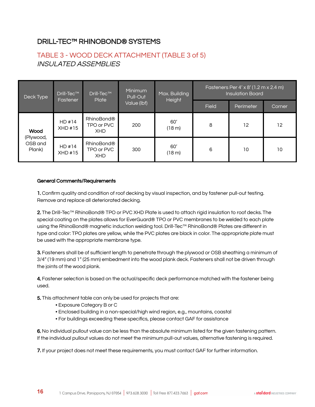#### DRILL-TEC™ RHINOBOND® SYSTEMS

#### TABLE 3 - WOOD DECK ATTACHMENT (TABLE 3 of 5) INSULATED ASSEMBLIES

| Deck Type                              | Drill-Tec™<br>Fastener | Drill-Tec™<br>Plate                                | <b>Minimum</b><br>Pull-Out<br>Value (lbf) | Max. Building<br>Height | Fasteners Per 4' x 8' (1.2 m x 2.4 m)<br><b>Insulation Board</b> |           |        |
|----------------------------------------|------------------------|----------------------------------------------------|-------------------------------------------|-------------------------|------------------------------------------------------------------|-----------|--------|
|                                        |                        |                                                    |                                           |                         | Field                                                            | Perimeter | Corner |
| Wood<br>(Plywood,<br>OSB and<br>Plank) | HD #14<br>XHD#15       | RhinoBond <sup>®</sup><br>TPO or PVC<br><b>XHD</b> | 200                                       | 60'<br>(18 m)           | 8                                                                | 12        | 12     |
|                                        | HD #14<br>XHD#15       | RhinoBond <sup>®</sup><br>TPO or PVC<br><b>XHD</b> | 300                                       | 60'<br>(18 m)           | 6                                                                | 10        | 10     |

#### General Comments/Requirements

1. Confirm quality and condition of roof decking by visual inspection, and by fastener pull-out testing. Remove and replace all deteriorated decking.

2. The Drill-Tec™ RhinoBond® TPO or PVC XHD Plate is used to attach rigid insulation to roof decks. The special coating on the plates allows for EverGuard® TPO or PVC membranes to be welded to each plate using the RhinoBond® magnetic induction welding tool. Drill-Tec™ RhinoBond® Plates are different in type and color: TPO plates are yellow, while the PVC plates are black in color. The appropriate plate must be used with the appropriate membrane type.

3. Fasteners shall be of sufficient length to penetrate through the plywood or OSB sheathing a minimum of 3/4" (19 mm) and 1" (25 mm) embedment into the wood plank deck. Fasteners shall not be driven through the joints of the wood plank.

4. Fastener selection is based on the actual/specific deck performance matched with the fastener being used.

5. This attachment table can only be used for projects that are:

- Exposure Category B or C
- Enclosed building in a non-special/high wind region, e.g., mountains, coastal
- For buildings exceeding these specifics, please contact GAF for assistance

6. No individual pullout value can be less than the absolute minimum listed for the given fastening pattern. If the individual pullout values do not meet the minimum pull-out values, alternative fastening is required.

7. If your project does not meet these requirements, you must contact GAF for further information.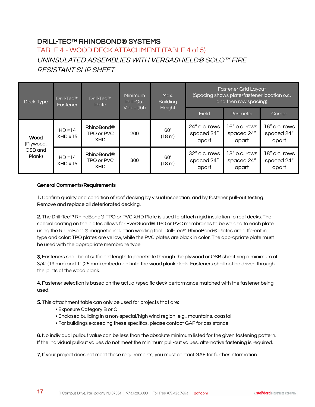#### DRILL-TEC™ RHINOBOND® SYSTEMS

TABLE 4 - WOOD DECK ATTACHMENT (TABLE 4 of 5) UNINSULATED ASSEMBLIES WITH VERSASHIELD® SOLO™ FIRE RESISTANT SLIP SHEET

| Deck Type                              | Drill-Tec™<br>Fastener | Drill-Tec™<br>Plate                           | Minimum<br>Pull-Out<br>Value (lbf) | Max.<br><b>Building</b><br>Height | <b>Fastener Grid Layout</b><br>(Spacing shows plate/fastener location o.c.<br>and then row spacing) |                                        |                                        |
|----------------------------------------|------------------------|-----------------------------------------------|------------------------------------|-----------------------------------|-----------------------------------------------------------------------------------------------------|----------------------------------------|----------------------------------------|
|                                        |                        |                                               |                                    |                                   | Field                                                                                               | Perimeter                              | Corner                                 |
| Wood<br>(Plywood,<br>OSB and<br>Plank) | HD #14<br>XHD#15       | <b>RhinoBond®</b><br>TPO or PVC<br><b>XHD</b> | 200                                | 60'<br>(18 m)                     | $24"$ o.c. rows<br>spaced 24"<br>apart                                                              | $16"$ o.c. rows<br>spaced 24"<br>apart | $16"$ o.c. rows<br>spaced 24"<br>apart |
|                                        | HD #14<br>XHD#15       | <b>RhinoBond®</b><br>TPO or PVC<br><b>XHD</b> | 300                                | 60'<br>(18 m)                     | 32" o.c. rows<br>spaced 24"<br>apart                                                                | 18" o.c. rows<br>spaced 24"<br>apart   | 18" o.c. rows<br>spaced 24"<br>apart   |

#### General Comments/Requirements

1. Confirm quality and condition of roof decking by visual inspection, and by fastener pull-out testing. Remove and replace all deteriorated decking.

2. The Drill-Tec™ RhinoBond® TPO or PVC XHD Plate is used to attach rigid insulation to roof decks. The special coating on the plates allows for EverGuard® TPO or PVC membranes to be welded to each plate using the RhinoBond® magnetic induction welding tool. Drill-Tec™ RhinoBond® Plates are different in type and color: TPO plates are yellow, while the PVC plates are black in color. The appropriate plate must be used with the appropriate membrane type.

3. Fasteners shall be of sufficient length to penetrate through the plywood or OSB sheathing a minimum of 3/4" (19 mm) and 1" (25 mm) embedment into the wood plank deck. Fasteners shall not be driven through the joints of the wood plank.

4. Fastener selection is based on the actual/specific deck performance matched with the fastener being used.

5. This attachment table can only be used for projects that are:

• Exposure Category B or C

**17**

- Enclosed building in a non-special/high wind region, e.g., mountains, coastal
- For buildings exceeding these specifics, please contact GAF for assistance

6. No individual pullout value can be less than the absolute minimum listed for the given fastening pattern. If the individual pullout values do not meet the minimum pull-out values, alternative fastening is required.

7. If your project does not meet these requirements, you must contact GAF for further information.